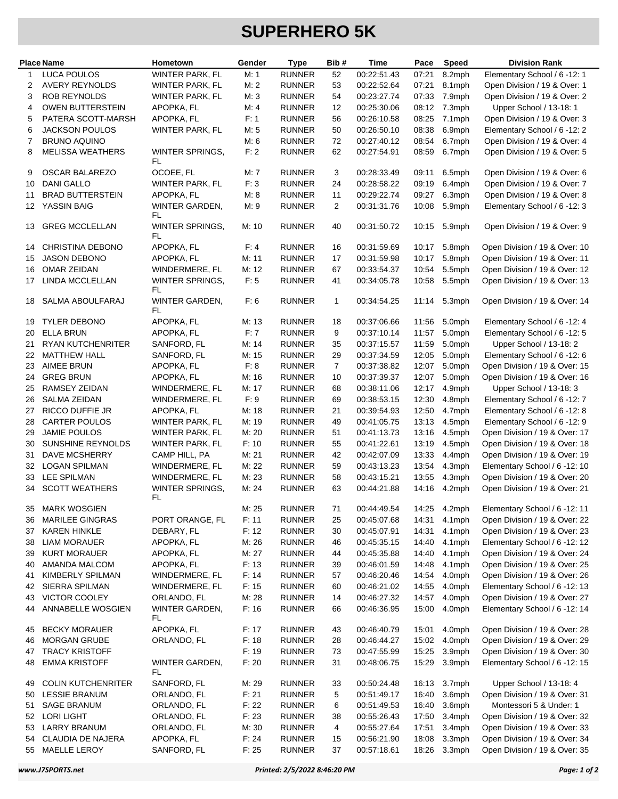## **SUPERHERO 5K**

|          | <b>Place Name</b>                             | Hometown                             | Gender         | <b>Type</b>                    | Bib#           | Time                       | Pace           | <b>Speed</b>     | <b>Division Rank</b>                                           |
|----------|-----------------------------------------------|--------------------------------------|----------------|--------------------------------|----------------|----------------------------|----------------|------------------|----------------------------------------------------------------|
| 1        | <b>LUCA POULOS</b>                            | WINTER PARK, FL                      | M: 1           | <b>RUNNER</b>                  | 52             | 00:22:51.43                | 07:21          | 8.2mph           | Elementary School / 6 -12: 1                                   |
| 2        | <b>AVERY REYNOLDS</b>                         | WINTER PARK, FL                      | M: 2           | <b>RUNNER</b>                  | 53             | 00:22:52.64                | 07:21          | 8.1mph           | Open Division / 19 & Over: 1                                   |
| 3        | ROB REYNOLDS                                  | WINTER PARK, FL                      | M: 3           | <b>RUNNER</b>                  | 54             | 00:23:27.74                | 07:33          | 7.9mph           | Open Division / 19 & Over: 2                                   |
| 4        | <b>OWEN BUTTERSTEIN</b>                       | APOPKA, FL                           | M: 4           | <b>RUNNER</b>                  | 12             | 00:25:30.06                | 08:12          | 7.3mph           | Upper School / 13-18: 1                                        |
| 5        | PATERA SCOTT-MARSH                            | APOPKA, FL                           | F: 1           | <b>RUNNER</b>                  | 56             | 00:26:10.58                | 08:25          | 7.1mph           | Open Division / 19 & Over: 3                                   |
| 6        | <b>JACKSON POULOS</b>                         | <b>WINTER PARK, FL</b>               | M: 5           | <b>RUNNER</b>                  | 50             | 00:26:50.10                | 08:38          | 6.9mph           | Elementary School / 6 -12: 2                                   |
| 7        | <b>BRUNO AQUINO</b>                           |                                      | M: 6           | <b>RUNNER</b>                  | 72             | 00:27:40.12                | 08:54          | 6.7mph           | Open Division / 19 & Over: 4                                   |
| 8        | <b>MELISSA WEATHERS</b>                       | WINTER SPRINGS,<br>FL                | F: 2           | <b>RUNNER</b>                  | 62             | 00:27:54.91                | 08:59          | 6.7mph           | Open Division / 19 & Over: 5                                   |
| 9        | <b>OSCAR BALAREZO</b>                         | OCOEE, FL                            | M: 7           | <b>RUNNER</b>                  | 3              | 00:28:33.49                | 09:11          | 6.5mph           | Open Division / 19 & Over: 6                                   |
| 10       | <b>DANI GALLO</b>                             | <b>WINTER PARK, FL</b>               | F: 3           | <b>RUNNER</b>                  | 24             | 00:28:58.22                | 09:19          | 6.4mph           | Open Division / 19 & Over: 7                                   |
| 11       | <b>BRAD BUTTERSTEIN</b>                       | APOPKA, FL                           | M: 8           | <b>RUNNER</b>                  | 11             | 00:29:22.74                | 09:27          | 6.3mph           | Open Division / 19 & Over: 8                                   |
| 12       | YASSIN BAIG                                   | WINTER GARDEN,<br>FL                 | M:9            | <b>RUNNER</b>                  | $\overline{2}$ | 00:31:31.76                | 10:08          | 5.9mph           | Elementary School / 6 -12: 3                                   |
| 13       | <b>GREG MCCLELLAN</b>                         | <b>WINTER SPRINGS,</b><br>FL         | M: 10          | <b>RUNNER</b>                  | 40             | 00:31:50.72                | 10:15          | 5.9mph           | Open Division / 19 & Over: 9                                   |
| 14       | <b>CHRISTINA DEBONO</b>                       | APOPKA, FL                           | F: 4           | <b>RUNNER</b>                  | 16             | 00:31:59.69                | 10:17          | 5.8mph           | Open Division / 19 & Over: 10                                  |
| 15       | <b>JASON DEBONO</b>                           | APOPKA, FL                           | M: 11          | <b>RUNNER</b>                  | 17             | 00:31:59.98                | 10:17          | 5.8mph           | Open Division / 19 & Over: 11                                  |
| 16       | <b>OMAR ZEIDAN</b>                            | WINDERMERE, FL                       | M: 12          | <b>RUNNER</b>                  | 67             | 00:33:54.37                | 10:54          | 5.5mph           | Open Division / 19 & Over: 12                                  |
| 17       | LINDA MCCLELLAN                               | <b>WINTER SPRINGS,</b><br>FL         | F: 5           | <b>RUNNER</b>                  | 41             | 00:34:05.78                | 10:58          | 5.5mph           | Open Division / 19 & Over: 13                                  |
| 18       | SALMA ABOULFARAJ                              | WINTER GARDEN.<br>FL                 | F: 6           | <b>RUNNER</b>                  | $\mathbf{1}$   | 00:34:54.25                | 11:14          | 5.3mph           | Open Division / 19 & Over: 14                                  |
| 19       | <b>TYLER DEBONO</b>                           | APOPKA, FL                           | M: 13          | <b>RUNNER</b>                  | 18             | 00:37:06.66                | 11:56          | 5.0mph           | Elementary School / 6 -12: 4                                   |
| 20       | <b>ELLA BRUN</b>                              | APOPKA, FL                           | F: 7           | <b>RUNNER</b>                  | 9              | 00:37:10.14                | 11:57          | 5.0mph           | Elementary School / 6 -12: 5                                   |
| 21       | <b>RYAN KUTCHENRITER</b>                      | SANFORD, FL                          | M: 14          | <b>RUNNER</b>                  | 35             | 00:37:15.57                | 11:59          | 5.0mph           | Upper School / 13-18: 2                                        |
| 22       | <b>MATTHEW HALL</b>                           | SANFORD, FL                          | M: 15          | <b>RUNNER</b>                  | 29             | 00:37:34.59                | 12:05          | 5.0mph           | Elementary School / 6 -12: 6                                   |
| 23       | <b>AIMEE BRUN</b>                             | APOPKA, FL                           | F: 8           | <b>RUNNER</b>                  | $\overline{7}$ | 00:37:38.82                | 12:07          | 5.0mph           | Open Division / 19 & Over: 15                                  |
| 24       | <b>GREG BRUN</b>                              | APOPKA, FL                           | M: 16          | <b>RUNNER</b>                  | 10             | 00:37:39.37                | 12:07          | 5.0mph           | Open Division / 19 & Over: 16                                  |
| 25       | RAMSEY ZEIDAN                                 | WINDERMERE, FL                       | M: 17          | <b>RUNNER</b>                  | 68             | 00:38:11.06                | 12:17          | 4.9mph           | Upper School / 13-18: 3                                        |
| 26       | <b>SALMA ZEIDAN</b><br><b>RICCO DUFFIE JR</b> | WINDERMERE, FL                       | F: 9           | <b>RUNNER</b>                  | 69             | 00:38:53.15                | 12:30          | 4.8mph           | Elementary School / 6 -12: 7                                   |
| 27<br>28 | <b>CARTER POULOS</b>                          | APOPKA, FL<br><b>WINTER PARK, FL</b> | M: 18<br>M: 19 | <b>RUNNER</b><br><b>RUNNER</b> | 21<br>49       | 00:39:54.93<br>00:41:05.75 | 12:50<br>13:13 | 4.7mph<br>4.5mph | Elementary School / 6 -12: 8<br>Elementary School / 6 -12: 9   |
| 29       | <b>JAMIE POULOS</b>                           | <b>WINTER PARK, FL</b>               | M: 20          | <b>RUNNER</b>                  | 51             | 00:41:13.73                | 13:16          | 4.5mph           | Open Division / 19 & Over: 17                                  |
| 30       | SUNSHINE REYNOLDS                             | WINTER PARK, FL                      | F: 10          | <b>RUNNER</b>                  | 55             | 00:41:22.61                | 13:19          | 4.5mph           | Open Division / 19 & Over: 18                                  |
| 31       | <b>DAVE MCSHERRY</b>                          | CAMP HILL, PA                        | M: 21          | <b>RUNNER</b>                  | 42             | 00:42:07.09                | 13:33          | 4.4mph           | Open Division / 19 & Over: 19                                  |
| 32       | <b>LOGAN SPILMAN</b>                          | WINDERMERE, FL                       | M: 22          | <b>RUNNER</b>                  | 59             | 00:43:13.23                | 13:54          | 4.3mph           | Elementary School / 6 -12: 10                                  |
| 33       | <b>LEE SPILMAN</b>                            | WINDERMERE, FL                       | M: 23          | <b>RUNNER</b>                  | 58             | 00:43:15.21                | 13:55          | 4.3mph           | Open Division / 19 & Over: 20                                  |
| 34       | <b>SCOTT WEATHERS</b>                         | <b>WINTER SPRINGS,</b><br>FL         | M: 24          | <b>RUNNER</b>                  | 63             | 00:44:21.88                | 14:16          | 4.2mph           | Open Division / 19 & Over: 21                                  |
| 35       | <b>MARK WOSGIEN</b>                           |                                      | M: 25          | RUNNER                         | 71             | 00:44:49.54                | 14:25          | 4.2mph           | Elementary School / 6 -12: 11                                  |
| 36       | <b>MARILEE GINGRAS</b>                        | PORT ORANGE, FL                      | F: 11          | <b>RUNNER</b>                  | 25             | 00:45:07.68                | 14:31          | 4.1mph           | Open Division / 19 & Over: 22                                  |
| 37       | <b>KAREN HINKLE</b>                           | DEBARY, FL                           | F: 12          | <b>RUNNER</b>                  | 30             | 00:45:07.91                | 14:31          | 4.1mph           | Open Division / 19 & Over: 23                                  |
| 38       | LIAM MORAUER                                  | APOPKA, FL                           | M: 26          | <b>RUNNER</b>                  | 46             | 00:45:35.15                | 14:40          | 4.1mph           | Elementary School / 6 -12: 12                                  |
| 39       | <b>KURT MORAUER</b>                           | APOPKA, FL                           | M: 27          | <b>RUNNER</b>                  | 44             | 00:45:35.88                | 14:40          | 4.1mph           | Open Division / 19 & Over: 24                                  |
| 40       | AMANDA MALCOM                                 | APOPKA, FL                           | F: 13          | <b>RUNNER</b>                  | 39             | 00:46:01.59                | 14:48          | 4.1mph           | Open Division / 19 & Over: 25                                  |
| 41       | KIMBERLY SPILMAN                              | WINDERMERE, FL                       | F: 14          | <b>RUNNER</b>                  | 57             | 00:46:20.46                | 14:54          | 4.0mph           | Open Division / 19 & Over: 26                                  |
| 42<br>43 | SIERRA SPILMAN<br>VICTOR COOLEY               | WINDERMERE, FL<br>ORLANDO, FL        | F: 15<br>M: 28 | <b>RUNNER</b><br><b>RUNNER</b> | 60<br>14       | 00:46:21.02<br>00:46:27.32 | 14:55<br>14:57 | 4.0mph<br>4.0mph | Elementary School / 6 -12: 13<br>Open Division / 19 & Over: 27 |
| 44       | ANNABELLE WOSGIEN                             | WINTER GARDEN,<br>FL                 | F: 16          | <b>RUNNER</b>                  | 66             | 00:46:36.95                | 15:00          | 4.0mph           | Elementary School / 6 -12: 14                                  |
| 45       | <b>BECKY MORAUER</b>                          | APOPKA, FL                           | F: 17          | <b>RUNNER</b>                  | 43             | 00:46:40.79                | 15:01          | 4.0mph           | Open Division / 19 & Over: 28                                  |
| 46       | <b>MORGAN GRUBE</b>                           | ORLANDO, FL                          | F: 18          | <b>RUNNER</b>                  | 28             | 00:46:44.27                | 15:02          | 4.0mph           | Open Division / 19 & Over: 29                                  |
| 47       | <b>TRACY KRISTOFF</b>                         |                                      | F: 19          | <b>RUNNER</b>                  | 73             | 00:47:55.99                | 15:25          | 3.9mph           | Open Division / 19 & Over: 30                                  |
| 48       | <b>EMMA KRISTOFF</b>                          | WINTER GARDEN,<br>FL                 | F: 20          | <b>RUNNER</b>                  | 31             | 00:48:06.75                | 15:29          | 3.9mph           | Elementary School / 6 -12: 15                                  |
| 49       | <b>COLIN KUTCHENRITER</b>                     | SANFORD, FL                          | M: 29          | <b>RUNNER</b>                  | 33             | 00:50:24.48                | 16:13          | 3.7mph           | Upper School / 13-18: 4                                        |
| 50       | <b>LESSIE BRANUM</b>                          | ORLANDO, FL                          | F: 21          | <b>RUNNER</b>                  | 5              | 00:51:49.17                | 16:40          | 3.6mph           | Open Division / 19 & Over: 31                                  |
| 51       | <b>SAGE BRANUM</b>                            | ORLANDO, FL                          | F: 22          | <b>RUNNER</b>                  | 6              | 00:51:49.53                | 16:40          | 3.6mph           | Montessori 5 & Under: 1                                        |
| 52       | <b>LORI LIGHT</b>                             | ORLANDO, FL                          | F: 23          | <b>RUNNER</b>                  | 38             | 00:55:26.43                | 17:50          | 3.4mph           | Open Division / 19 & Over: 32                                  |
| 53       | <b>LARRY BRANUM</b><br>CLAUDIA DE NAJERA      | ORLANDO, FL<br>APOPKA, FL            | M: 30          | <b>RUNNER</b><br><b>RUNNER</b> | 4              | 00:55:27.64                | 17:51          | 3.4mph<br>3.3mph | Open Division / 19 & Over: 33<br>Open Division / 19 & Over: 34 |
| 54<br>55 | MAELLE LEROY                                  | SANFORD, FL                          | F: 24<br>F: 25 | <b>RUNNER</b>                  | 15<br>37       | 00:56:21.90<br>00:57:18.61 | 18:08<br>18:26 | 3.3mph           | Open Division / 19 & Over: 35                                  |